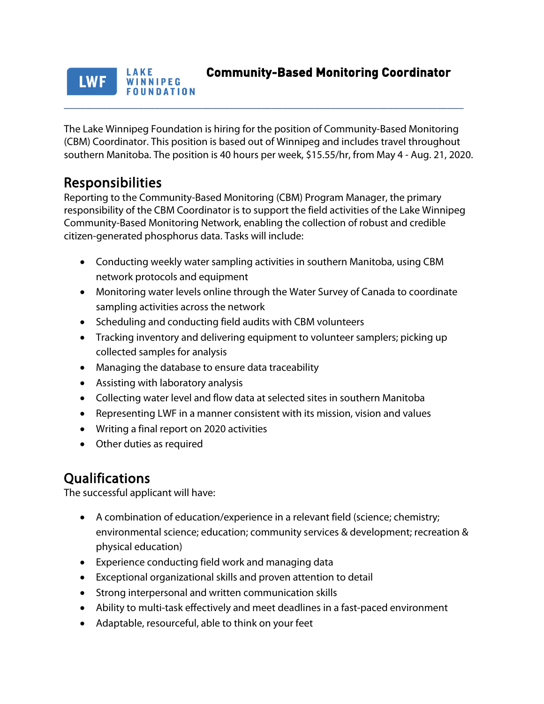### **Community-Based Monitoring Coordinator**  LAKE **LWF** WINNIPEG **FOUNDATION**

The Lake Winnipeg Foundation is hiring for the position of Community-Based Monitoring (CBM) Coordinator. This position is based out of Winnipeg and includes travel throughout southern Manitoba. The position is 40 hours per week, \$15.55/hr, from May 4 - Aug. 21, 2020.

\_\_\_\_\_\_\_\_\_\_\_\_\_\_\_\_\_\_\_\_\_\_\_\_\_\_\_\_\_\_\_\_\_\_\_\_\_\_\_\_\_\_\_\_\_\_\_\_\_\_\_\_\_\_\_\_\_\_\_\_\_\_\_\_\_\_\_\_\_\_\_\_\_\_\_

**Responsibilities**<br>Reporting to the Community-Based Monitoring (CBM) Program Manager, the primary responsibility of the CBM Coordinator is to support the field activities of the Lake Winnipeg Community-Based Monitoring Network, enabling the collection of robust and credible citizen-generated phosphorus data. Tasks will include:

- Conducting weekly water sampling activities in southern Manitoba, using CBM network protocols and equipment
- Monitoring water levels online through the Water Survey of Canada to coordinate sampling activities across the network
- Scheduling and conducting field audits with CBM volunteers
- Tracking inventory and delivering equipment to volunteer samplers; picking up collected samples for analysis
- Managing the database to ensure data traceability
- Assisting with laboratory analysis
- Collecting water level and flow data at selected sites in southern Manitoba
- Representing LWF in a manner consistent with its mission, vision and values
- Writing a final report on 2020 activities
- Other duties as required

**Qualifications**<br>The successful applicant will have:

- A combination of education/experience in a relevant field (science; chemistry; environmental science; education; community services & development; recreation & physical education)
- Experience conducting field work and managing data
- Exceptional organizational skills and proven attention to detail
- Strong interpersonal and written communication skills
- Ability to multi-task effectively and meet deadlines in a fast-paced environment
- Adaptable, resourceful, able to think on your feet